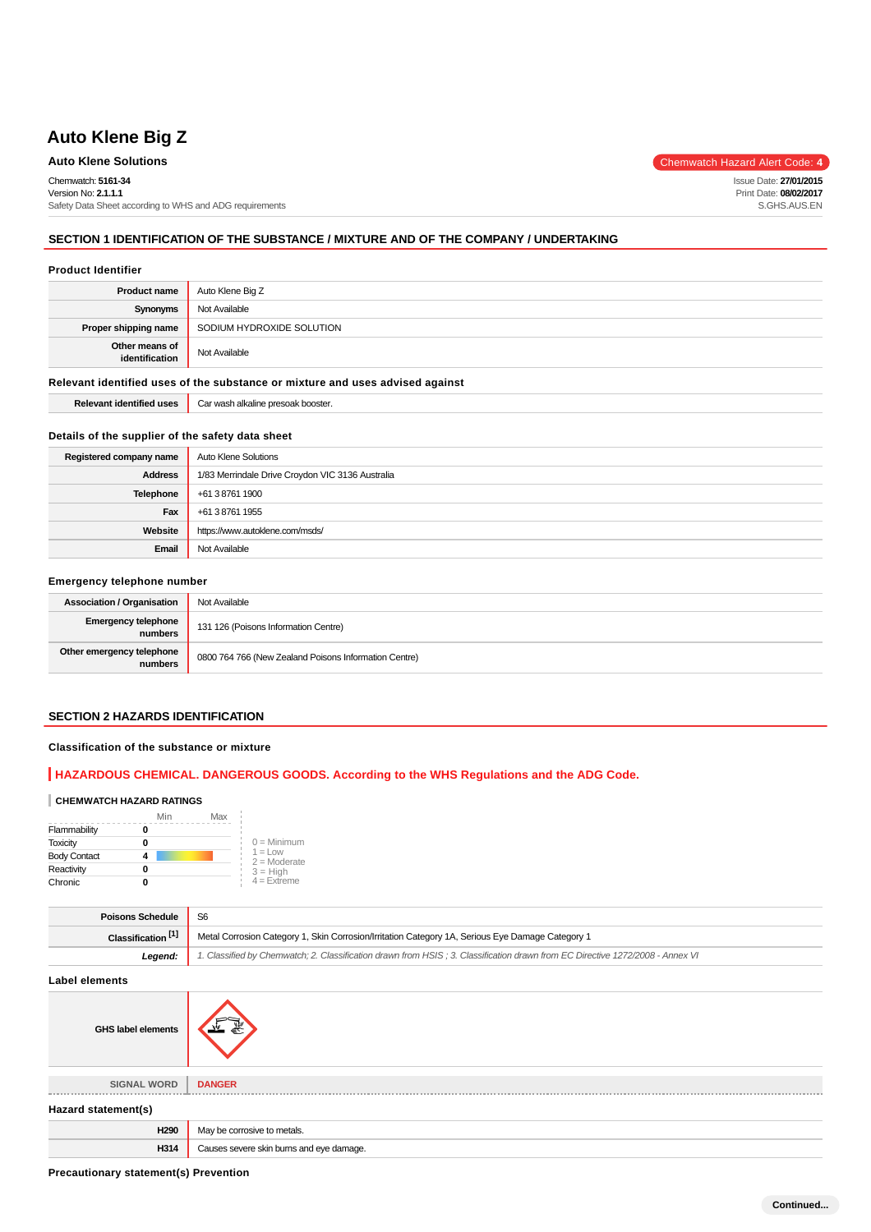# **Auto Klene Big Z**

### **Auto Klene Solutions** Chemwatch Hazard Alert Code: 4

Chemwatch: **5161-34** Version No: **2.1.1.1** Safety Data Sheet according to WHS and ADG requirements

## **SECTION 1 IDENTIFICATION OF THE SUBSTANCE / MIXTURE AND OF THE COMPANY / UNDERTAKING**

#### **Product Identifier**

| <b>Product name</b>                                                           | Auto Klene Big Z                   |  |
|-------------------------------------------------------------------------------|------------------------------------|--|
| Synonyms                                                                      | Not Available                      |  |
| Proper shipping name                                                          | SODIUM HYDROXIDE SOLUTION          |  |
| Other means of<br>identification                                              | Not Available                      |  |
| Relevant identified uses of the substance or mixture and uses advised against |                                    |  |
| <b>Relevant identified uses</b>                                               | Car wash alkaline presoak booster. |  |

### **Details of the supplier of the safety data sheet**

| Registered company name | Auto Klene Solutions                             |  |
|-------------------------|--------------------------------------------------|--|
| <b>Address</b>          | 1/83 Merrindale Drive Croydon VIC 3136 Australia |  |
| <b>Telephone</b>        | +61 3 8761 1900                                  |  |
| Fax                     | +61 3 8761 1955                                  |  |
| Website                 | https://www.autoklene.com/msds/                  |  |
| Email                   | Not Available                                    |  |

#### **Emergency telephone number**

| <b>Association / Organisation</b>     | Not Available                                         |
|---------------------------------------|-------------------------------------------------------|
| <b>Emergency telephone</b><br>numbers | 131 126 (Poisons Information Centre)                  |
| Other emergency telephone<br>numbers  | 0800 764 766 (New Zealand Poisons Information Centre) |

### **SECTION 2 HAZARDS IDENTIFICATION**

#### **Classification of the substance or mixture**

### **HAZARDOUS CHEMICAL. DANGEROUS GOODS. According to the WHS Regulations and the ADG Code.**

#### **CHEMWATCH HAZARD RATINGS**

|                     | Min | Max |                              |
|---------------------|-----|-----|------------------------------|
| Flammability        |     |     |                              |
| <b>Toxicity</b>     |     |     | $0 =$ Minimum                |
| <b>Body Contact</b> |     |     | $1 = 1$ OW<br>$2 =$ Moderate |
| Reactivity          |     |     | $3 = High$                   |
| Chronic             |     |     | $4 =$ Extreme                |

| <b>Poisons Schedule</b>       |                                                                                                                               |
|-------------------------------|-------------------------------------------------------------------------------------------------------------------------------|
| Classification <sup>[1]</sup> | Metal Corrosion Category 1, Skin Corrosion/Irritation Category 1A, Serious Eye Damage Category 1                              |
| Legend:                       | 1. Classified by Chemwatch; 2. Classification drawn from HSIS; 3. Classification drawn from EC Directive 1272/2008 - Annex VI |

#### **Label elements**

| <b>GHS label elements</b> |                                          |
|---------------------------|------------------------------------------|
|                           |                                          |
| <b>SIGNAL WORD</b>        | <b>DANGER</b>                            |
| Hazard statement(s)       |                                          |
| H290                      | May be corrosive to metals.              |
| H314                      | Causes severe skin burns and eye damage. |

**Precautionary statement(s) Prevention**

Issue Date: **27/01/2015** Print Date: **08/02/2017** S.GHS.AUS.EN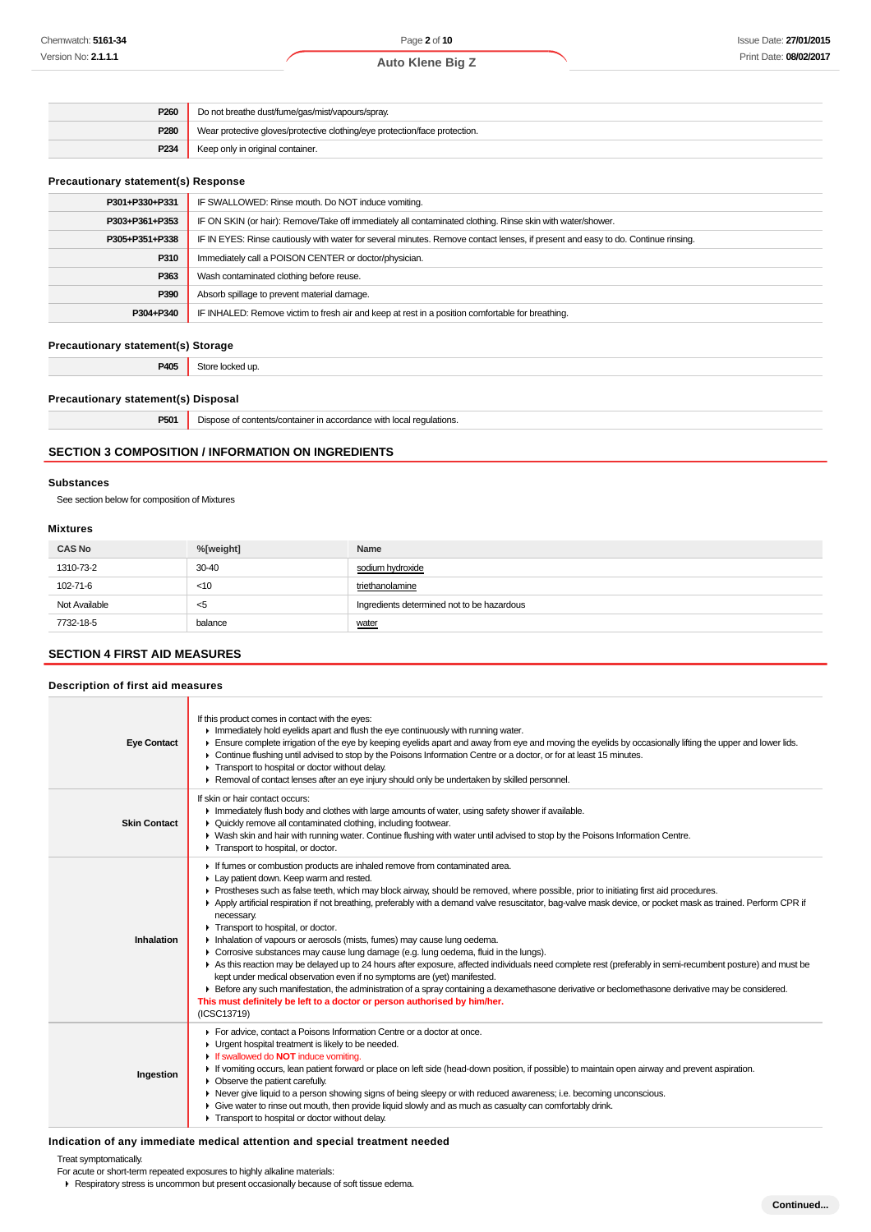| <b>Auto Klene Big Z</b> |  |
|-------------------------|--|
|                         |  |

| P260             | Do not breathe dust/fume/gas/mist/vapours/spray.                           |  |
|------------------|----------------------------------------------------------------------------|--|
| P280             | Wear protective gloves/protective clothing/eye protection/face protection. |  |
| P <sub>234</sub> | Keep only in original container.                                           |  |

#### **Precautionary statement(s) Response**

| P301+P330+P331 | IF SWALLOWED: Rinse mouth. Do NOT induce vomiting.                                                                               |  |
|----------------|----------------------------------------------------------------------------------------------------------------------------------|--|
| P303+P361+P353 | IF ON SKIN (or hair): Remove/Take off immediately all contaminated clothing. Rinse skin with water/shower.                       |  |
| P305+P351+P338 | IF IN EYES: Rinse cautiously with water for several minutes. Remove contact lenses, if present and easy to do. Continue rinsing. |  |
| P310           | Immediately call a POISON CENTER or doctor/physician.                                                                            |  |
| P363           | Wash contaminated clothing before reuse.                                                                                         |  |
| P390           | Absorb spillage to prevent material damage.                                                                                      |  |
| P304+P340      | IF INHALED: Remove victim to fresh air and keep at rest in a position comfortable for breathing.                                 |  |
|                |                                                                                                                                  |  |

## **Precautionary statement(s) Storage**

**P405** Store locked up.

#### **Precautionary statement(s) Disposal**

| <b>DEA</b><br>mu. | l requlations.<br>:ontaine<br>,,, |
|-------------------|-----------------------------------|
|                   |                                   |

#### **SECTION 3 COMPOSITION / INFORMATION ON INGREDIENTS**

#### **Substances**

See section below for composition of Mixtures

#### **Mixtures**

| <b>CAS No</b> | %[weight] | Name                                       |
|---------------|-----------|--------------------------------------------|
| 1310-73-2     | $30 - 40$ | sodium hydroxide                           |
| 102-71-6      | < 10      | triethanolamine                            |
| Not Available | - <5      | Ingredients determined not to be hazardous |
| 7732-18-5     | balance   | water                                      |

### **SECTION 4 FIRST AID MEASURES**

#### **Description of first aid measures**

| <b>Eye Contact</b>  | If this product comes in contact with the eyes:<br>Inmediately hold eyelids apart and flush the eye continuously with running water.<br>Ensure complete irrigation of the eye by keeping eyelids apart and away from eye and moving the eyelids by occasionally lifting the upper and lower lids.<br>► Continue flushing until advised to stop by the Poisons Information Centre or a doctor, or for at least 15 minutes.<br>F Transport to hospital or doctor without delay.<br>Removal of contact lenses after an eye injury should only be undertaken by skilled personnel.                                                                                                                                                                                                                                                                                                                                                                                                                                                                                                                                                                     |
|---------------------|----------------------------------------------------------------------------------------------------------------------------------------------------------------------------------------------------------------------------------------------------------------------------------------------------------------------------------------------------------------------------------------------------------------------------------------------------------------------------------------------------------------------------------------------------------------------------------------------------------------------------------------------------------------------------------------------------------------------------------------------------------------------------------------------------------------------------------------------------------------------------------------------------------------------------------------------------------------------------------------------------------------------------------------------------------------------------------------------------------------------------------------------------|
| <b>Skin Contact</b> | If skin or hair contact occurs:<br>In Immediately flush body and clothes with large amounts of water, using safety shower if available.<br>▶ Quickly remove all contaminated clothing, including footwear.<br>► Wash skin and hair with running water. Continue flushing with water until advised to stop by the Poisons Information Centre.<br>Transport to hospital, or doctor.                                                                                                                                                                                                                                                                                                                                                                                                                                                                                                                                                                                                                                                                                                                                                                  |
| Inhalation          | If fumes or combustion products are inhaled remove from contaminated area.<br>Lay patient down. Keep warm and rested.<br>▶ Prostheses such as false teeth, which may block airway, should be removed, where possible, prior to initiating first aid procedures.<br>Apply artificial respiration if not breathing, preferably with a demand valve resuscitator, bag-valve mask device, or pocket mask as trained. Perform CPR if<br>necessary.<br>Transport to hospital, or doctor.<br>Inhalation of vapours or aerosols (mists, fumes) may cause lung oedema.<br>► Corrosive substances may cause lung damage (e.g. lung oedema, fluid in the lungs).<br>As this reaction may be delayed up to 24 hours after exposure, affected individuals need complete rest (preferably in semi-recumbent posture) and must be<br>kept under medical observation even if no symptoms are (yet) manifested.<br>Exercise any such manifestation, the administration of a spray containing a dexamethasone derivative or beclomethasone derivative may be considered.<br>This must definitely be left to a doctor or person authorised by him/her.<br>(ICSC13719) |
| Ingestion           | For advice, contact a Poisons Information Centre or a doctor at once.<br>• Urgent hospital treatment is likely to be needed.<br>If swallowed do <b>NOT</b> induce vomiting.<br>If vomiting occurs, lean patient forward or place on left side (head-down position, if possible) to maintain open airway and prevent aspiration.<br>$\triangleright$ Observe the patient carefully.<br>▶ Never give liquid to a person showing signs of being sleepy or with reduced awareness; i.e. becoming unconscious.<br>• Give water to rinse out mouth, then provide liquid slowly and as much as casualty can comfortably drink.<br>Transport to hospital or doctor without delay.                                                                                                                                                                                                                                                                                                                                                                                                                                                                          |

#### **Indication of any immediate medical attention and special treatment needed**

Treat symptomatically.

- For acute or short-term repeated exposures to highly alkaline materials:
- Respiratory stress is uncommon but present occasionally because of soft tissue edema.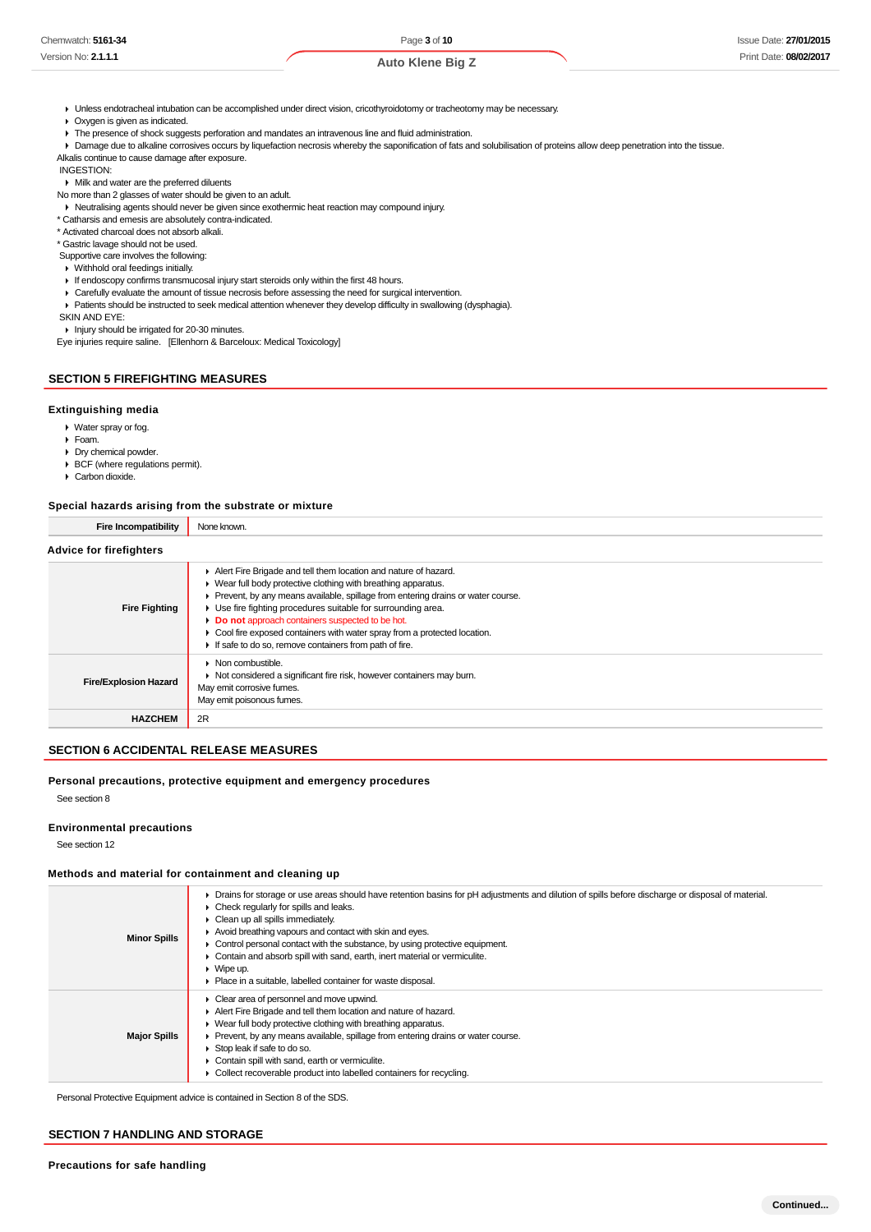Unless endotracheal intubation can be accomplished under direct vision, cricothyroidotomy or tracheotomy may be necessary.

Oxygen is given as indicated.

 $\blacktriangleright$  The presence of shock suggests perforation and mandates an intravenous line and fluid administration.

**P** Damage due to alkaline corrosives occurs by liquefaction necrosis whereby the saponification of fats and solubilisation of proteins allow deep penetration into the tissue. Alkalis continue to cause damage after exposure.

INGESTION:

Milk and water are the preferred diluents

No more than 2 glasses of water should be given to an adult.

Neutralising agents should never be given since exothermic heat reaction may compound injury.

\* Catharsis and emesis are absolutely contra-indicated.

\* Activated charcoal does not absorb alkali.

\* Gastric lavage should not be used.

Supportive care involves the following:

Withhold oral feedings initially.

If endoscopy confirms transmucosal injury start steroids only within the first 48 hours.

- Carefully evaluate the amount of tissue necrosis before assessing the need for surgical intervention.
- Patients should be instructed to seek medical attention whenever they develop difficulty in swallowing (dysphagia).

SKIN AND EYE:

Injury should be irrigated for 20-30 minutes. Eye injuries require saline. [Ellenhorn & Barceloux: Medical Toxicology]

### **SECTION 5 FIREFIGHTING MEASURES**

#### **Extinguishing media**

Water spray or fog.

Foam.

Dry chemical powder.

- BCF (where regulations permit).
- ▶ Carbon dioxide.

#### **Special hazards arising from the substrate or mixture**

| <b>Fire Incompatibility</b>    | None known.                                                                                                                                                                                                                                                                                                                                                                                                                                                                        |
|--------------------------------|------------------------------------------------------------------------------------------------------------------------------------------------------------------------------------------------------------------------------------------------------------------------------------------------------------------------------------------------------------------------------------------------------------------------------------------------------------------------------------|
| <b>Advice for firefighters</b> |                                                                                                                                                                                                                                                                                                                                                                                                                                                                                    |
| <b>Fire Fighting</b>           | Alert Fire Brigade and tell them location and nature of hazard.<br>▶ Wear full body protective clothing with breathing apparatus.<br>▶ Prevent, by any means available, spillage from entering drains or water course.<br>• Use fire fighting procedures suitable for surrounding area.<br>Do not approach containers suspected to be hot.<br>• Cool fire exposed containers with water spray from a protected location.<br>If safe to do so, remove containers from path of fire. |
| <b>Fire/Explosion Hazard</b>   | $\triangleright$ Non combustible.<br>▶ Not considered a significant fire risk, however containers may burn.<br>May emit corrosive fumes.<br>May emit poisonous fumes.                                                                                                                                                                                                                                                                                                              |
| <b>HAZCHEM</b>                 | 2R                                                                                                                                                                                                                                                                                                                                                                                                                                                                                 |

### **SECTION 6 ACCIDENTAL RELEASE MEASURES**

#### **Personal precautions, protective equipment and emergency procedures**

See section 8

#### **Environmental precautions**

See section 12

#### **Methods and material for containment and cleaning up**

| <b>Minor Spills</b> | • Drains for storage or use areas should have retention basins for pH adjustments and dilution of spills before discharge or disposal of material.<br>$\triangleright$ Check regularly for spills and leaks.<br>• Clean up all spills immediately.<br>Avoid breathing vapours and contact with skin and eyes.<br>$\triangleright$ Control personal contact with the substance, by using protective equipment.<br>Contain and absorb spill with sand, earth, inert material or vermiculite.<br>$\triangleright$ Wipe up.<br>• Place in a suitable, labelled container for waste disposal. |
|---------------------|------------------------------------------------------------------------------------------------------------------------------------------------------------------------------------------------------------------------------------------------------------------------------------------------------------------------------------------------------------------------------------------------------------------------------------------------------------------------------------------------------------------------------------------------------------------------------------------|
| <b>Major Spills</b> | • Clear area of personnel and move upwind.<br>Alert Fire Brigade and tell them location and nature of hazard.<br>$\blacktriangleright$ Wear full body protective clothing with breathing apparatus.<br>• Prevent, by any means available, spillage from entering drains or water course.<br>Stop leak if safe to do so.<br>Contain spill with sand, earth or vermiculite.<br>Collect recoverable product into labelled containers for recycling.                                                                                                                                         |

Personal Protective Equipment advice is contained in Section 8 of the SDS.

### **SECTION 7 HANDLING AND STORAGE**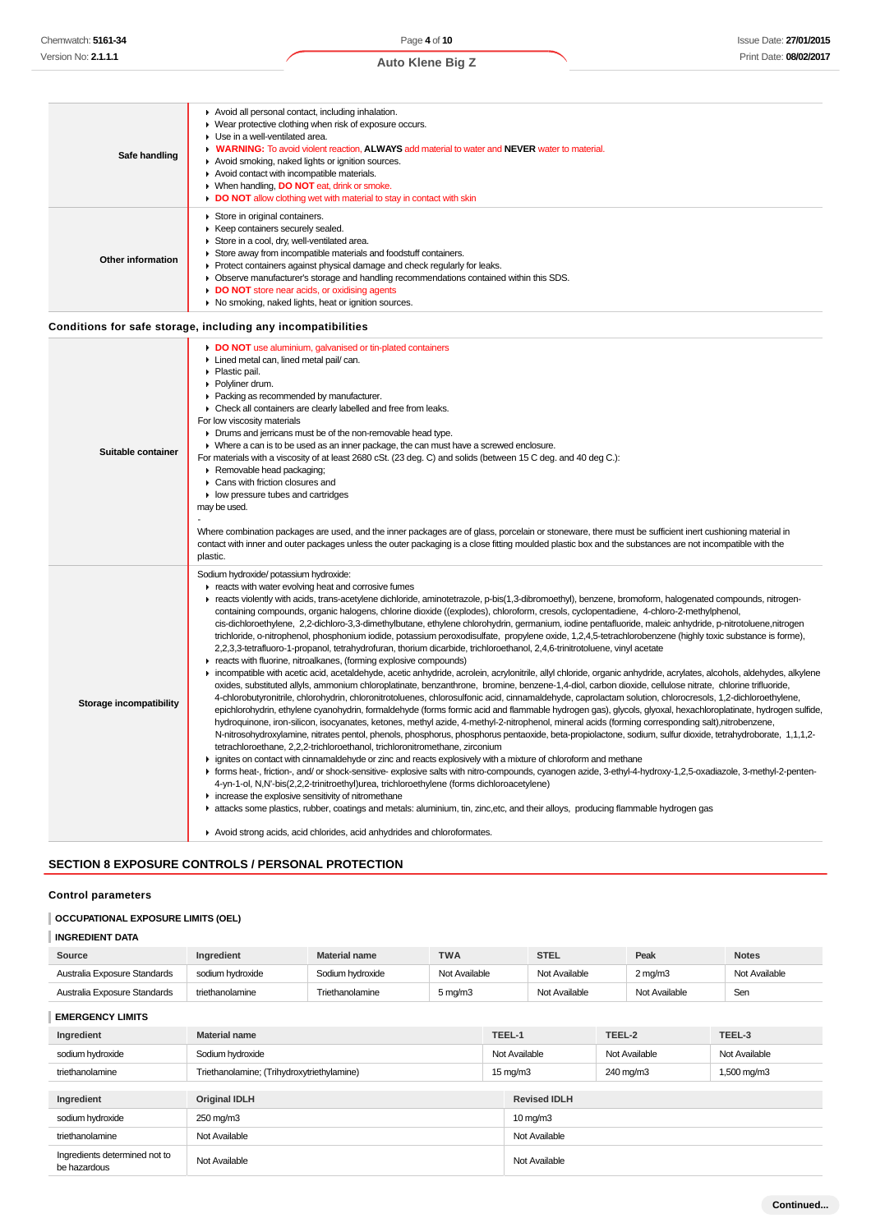| Safe handling            | Avoid all personal contact, including inhalation.<br>• Wear protective clothing when risk of exposure occurs.<br>Use in a well-ventilated area.<br>• WARNING: To avoid violent reaction, ALWAYS add material to water and NEVER water to material.<br>Avoid smoking, naked lights or ignition sources.<br>Avoid contact with incompatible materials.<br>▶ When handling, DO NOT eat, drink or smoke.<br>DO NOT allow clothing wet with material to stay in contact with skin                                                                                                                                                                                                                                                                                                                                                                                                                                                                                                                                                                                                                                                                                                                                                                                                                                                                                                                                                                                                                                                                                                                                                                                                                                                                                                                                                                                                                                                                                                                                                                                                                                                                                                                                                                                                                                                                                                                                                                                                                                                                                                                                                                            |
|--------------------------|---------------------------------------------------------------------------------------------------------------------------------------------------------------------------------------------------------------------------------------------------------------------------------------------------------------------------------------------------------------------------------------------------------------------------------------------------------------------------------------------------------------------------------------------------------------------------------------------------------------------------------------------------------------------------------------------------------------------------------------------------------------------------------------------------------------------------------------------------------------------------------------------------------------------------------------------------------------------------------------------------------------------------------------------------------------------------------------------------------------------------------------------------------------------------------------------------------------------------------------------------------------------------------------------------------------------------------------------------------------------------------------------------------------------------------------------------------------------------------------------------------------------------------------------------------------------------------------------------------------------------------------------------------------------------------------------------------------------------------------------------------------------------------------------------------------------------------------------------------------------------------------------------------------------------------------------------------------------------------------------------------------------------------------------------------------------------------------------------------------------------------------------------------------------------------------------------------------------------------------------------------------------------------------------------------------------------------------------------------------------------------------------------------------------------------------------------------------------------------------------------------------------------------------------------------------------------------------------------------------------------------------------------------|
| <b>Other information</b> | Store in original containers.<br>▶ Keep containers securely sealed.<br>Store in a cool, dry, well-ventilated area.<br>Store away from incompatible materials and foodstuff containers.<br>▶ Protect containers against physical damage and check regularly for leaks.<br>• Observe manufacturer's storage and handling recommendations contained within this SDS.<br>DO NOT store near acids, or oxidising agents<br>• No smoking, naked lights, heat or ignition sources.                                                                                                                                                                                                                                                                                                                                                                                                                                                                                                                                                                                                                                                                                                                                                                                                                                                                                                                                                                                                                                                                                                                                                                                                                                                                                                                                                                                                                                                                                                                                                                                                                                                                                                                                                                                                                                                                                                                                                                                                                                                                                                                                                                              |
|                          | Conditions for safe storage, including any incompatibilities                                                                                                                                                                                                                                                                                                                                                                                                                                                                                                                                                                                                                                                                                                                                                                                                                                                                                                                                                                                                                                                                                                                                                                                                                                                                                                                                                                                                                                                                                                                                                                                                                                                                                                                                                                                                                                                                                                                                                                                                                                                                                                                                                                                                                                                                                                                                                                                                                                                                                                                                                                                            |
| Suitable container       | DO NOT use aluminium, galvanised or tin-plated containers<br>Lined metal can, lined metal pail/ can.<br>▶ Plastic pail.<br>Polyliner drum.<br>Packing as recommended by manufacturer.<br>• Check all containers are clearly labelled and free from leaks.<br>For low viscosity materials<br>• Drums and jerricans must be of the non-removable head type.<br>• Where a can is to be used as an inner package, the can must have a screwed enclosure.<br>For materials with a viscosity of at least 2680 cSt. (23 deg. C) and solids (between 15 C deg. and 40 deg C.):<br>Removable head packaging;<br>Cans with friction closures and<br>• low pressure tubes and cartridges<br>may be used.<br>Where combination packages are used, and the inner packages are of glass, porcelain or stoneware, there must be sufficient inert cushioning material in<br>contact with inner and outer packages unless the outer packaging is a close fitting moulded plastic box and the substances are not incompatible with the<br>plastic.                                                                                                                                                                                                                                                                                                                                                                                                                                                                                                                                                                                                                                                                                                                                                                                                                                                                                                                                                                                                                                                                                                                                                                                                                                                                                                                                                                                                                                                                                                                                                                                                                        |
| Storage incompatibility  | Sodium hydroxide/ potassium hydroxide:<br>reacts with water evolving heat and corrosive fumes<br>F reacts violently with acids, trans-acetylene dichloride, aminotetrazole, p-bis(1,3-dibromoethyl), benzene, bromoform, halogenated compounds, nitrogen-<br>containing compounds, organic halogens, chlorine dioxide ((explodes), chloroform, cresols, cyclopentadiene, 4-chloro-2-methylphenol,<br>cis-dichloroethylene, 2,2-dichloro-3,3-dimethylbutane, ethylene chlorohydrin, germanium, iodine pentafluoride, maleic anhydride, p-nitrotoluene,nitrogen<br>trichloride, o-nitrophenol, phosphonium iodide, potassium peroxodisulfate, propylene oxide, 1,2,4,5-tetrachlorobenzene (highly toxic substance is forme),<br>2,2,3,3-tetrafluoro-1-propanol, tetrahydrofuran, thorium dicarbide, trichloroethanol, 2,4,6-trinitrotoluene, vinyl acetate<br>reacts with fluorine, nitroalkanes, (forming explosive compounds)<br>Incompatible with acetic acid, acetaldehyde, acetic anhydride, acrolein, acrylonitrile, allyl chloride, organic anhydride, acrylates, alcohols, aldehydes, alkylene<br>oxides, substituted allyls, ammonium chloroplatinate, benzanthrone, bromine, benzene-1,4-diol, carbon dioxide, cellulose nitrate, chlorine trifluoride,<br>4-chlorobutyronitrile, chlorohydrin, chloronitrotoluenes, chlorosulfonic acid, cinnamaldehyde, caprolactam solution, chlorocresols, 1,2-dichloroethylene,<br>epichlorohydrin, ethylene cyanohydrin, formaldehyde (forms formic acid and flammable hydrogen gas), glycols, glyoxal, hexachloroplatinate, hydrogen sulfide,<br>hydroguinone, iron-silicon, isocyanates, ketones, methyl azide, 4-methyl-2-nitrophenol, mineral acids (forming corresponding salt),nitrobenzene,<br>N-nitrosohydroxylamine, nitrates pentol, phenols, phosphorus, phosphorus pentaoxide, beta-propiolactone, sodium, sulfur dioxide, tetrahydroborate, 1,1,1,2-<br>tetrachloroethane, 2,2,2-trichloroethanol, trichloronitromethane, zirconium<br>► ignites on contact with cinnamaldehyde or zinc and reacts explosively with a mixture of chloroform and methane<br>F forms heat-, friction-, and/ or shock-sensitive- explosive salts with nitro-compounds, cyanogen azide, 3-ethyl-4-hydroxy-1,2,5-oxadiazole, 3-methyl-2-penten-<br>4-yn-1-ol, N,N'-bis(2,2,2-trinitroethyl)urea, trichloroethylene (forms dichloroacetylene)<br>increase the explosive sensitivity of nitromethane<br>Exacts some plastics, rubber, coatings and metals: aluminium, tin, zinc, etc, and their alloys, producing flammable hydrogen gas<br>Avoid strong acids, acid chlorides, acid anhydrides and chloroformates. |
|                          |                                                                                                                                                                                                                                                                                                                                                                                                                                                                                                                                                                                                                                                                                                                                                                                                                                                                                                                                                                                                                                                                                                                                                                                                                                                                                                                                                                                                                                                                                                                                                                                                                                                                                                                                                                                                                                                                                                                                                                                                                                                                                                                                                                                                                                                                                                                                                                                                                                                                                                                                                                                                                                                         |

### **SECTION 8 EXPOSURE CONTROLS / PERSONAL PROTECTION**

### **Control parameters**

### **OCCUPATIONAL EXPOSURE LIMITS (OEL)**

### **INGREDIENT DATA**

| Source                       | Ingredient       | <b>Material name</b> | TWA                           | <b>STEL</b>   | Peak               | <b>Notes</b>  |
|------------------------------|------------------|----------------------|-------------------------------|---------------|--------------------|---------------|
| Australia Exposure Standards | sodium hvdroxide | Sodium hydroxide     | Not Available                 | Not Available | $2 \text{ ma/m}$ 3 | Not Available |
| Australia Exposure Standards | triethanolamine  | Triethanolamine      | $5 \,\mathrm{ma}/\mathrm{m}3$ | Not Available | Not Available      | Sen           |

**EMERGENCY LIMITS**

| Ingredient                                    | <b>Material name</b>                       |  | TEEL-1               | TEEL-2        | TEEL-3        |
|-----------------------------------------------|--------------------------------------------|--|----------------------|---------------|---------------|
| sodium hydroxide                              | Sodium hydroxide                           |  | Not Available        | Not Available | Not Available |
| triethanolamine                               | Triethanolamine; (Trihydroxytriethylamine) |  | $15 \,\mathrm{mg/m}$ | 240 mg/m3     | 1,500 mg/m3   |
|                                               |                                            |  |                      |               |               |
| Ingredient                                    | <b>Original IDLH</b>                       |  | <b>Revised IDLH</b>  |               |               |
| sodium hydroxide                              | 250 mg/m3                                  |  | $10 \,\mathrm{mg/m}$ |               |               |
| triethanolamine                               | Not Available                              |  | Not Available        |               |               |
| Ingredients determined not to<br>be hazardous | Not Available                              |  | Not Available        |               |               |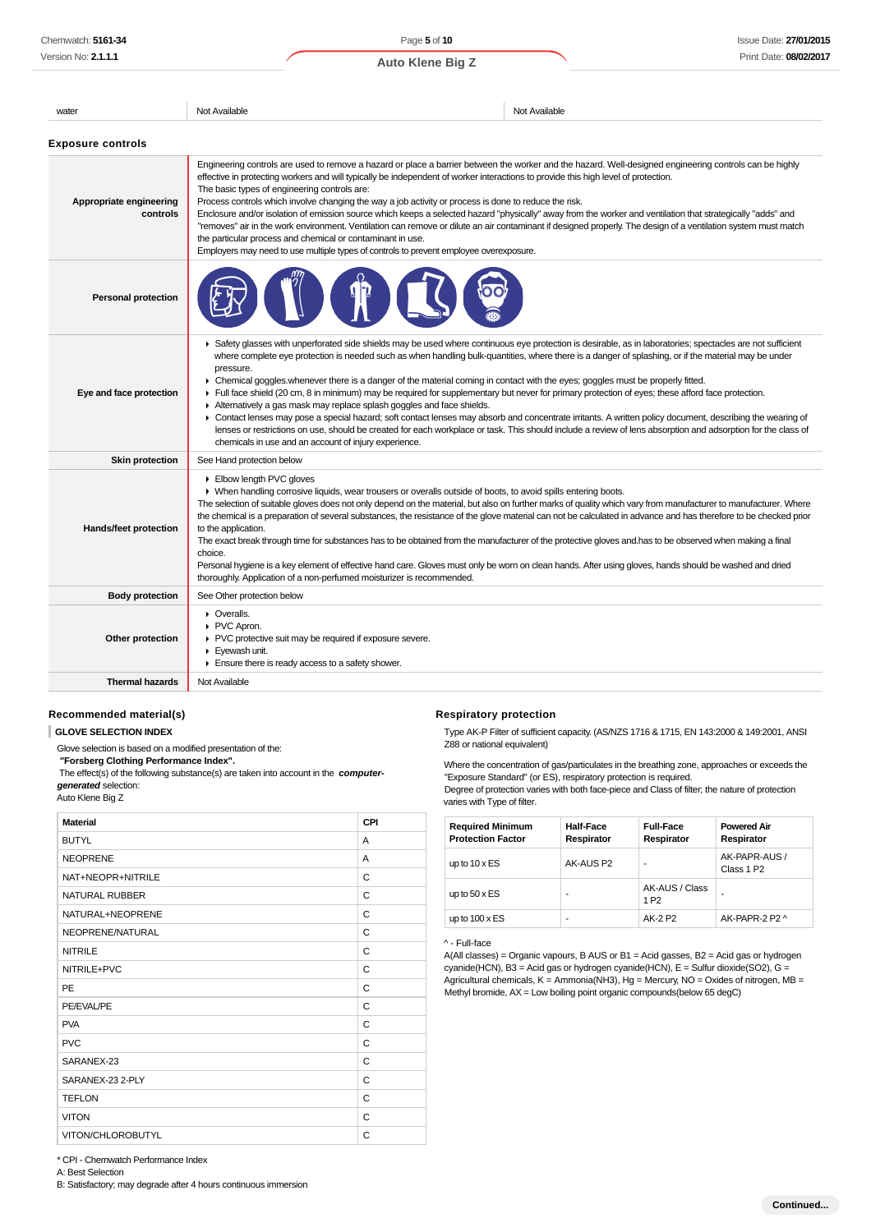| water                               | Not Available                                                                                                                                                                                                                                                                                                                                                                                                                                                                                                                                                                                                                                                                                                                                                                                                                                                                                                                                                                                                                                                                           | Not Available |  |
|-------------------------------------|-----------------------------------------------------------------------------------------------------------------------------------------------------------------------------------------------------------------------------------------------------------------------------------------------------------------------------------------------------------------------------------------------------------------------------------------------------------------------------------------------------------------------------------------------------------------------------------------------------------------------------------------------------------------------------------------------------------------------------------------------------------------------------------------------------------------------------------------------------------------------------------------------------------------------------------------------------------------------------------------------------------------------------------------------------------------------------------------|---------------|--|
| <b>Exposure controls</b>            |                                                                                                                                                                                                                                                                                                                                                                                                                                                                                                                                                                                                                                                                                                                                                                                                                                                                                                                                                                                                                                                                                         |               |  |
| Appropriate engineering<br>controls | Engineering controls are used to remove a hazard or place a barrier between the worker and the hazard. Well-designed engineering controls can be highly<br>effective in protecting workers and will typically be independent of worker interactions to provide this high level of protection.<br>The basic types of engineering controls are:<br>Process controls which involve changing the way a job activity or process is done to reduce the risk.<br>Enclosure and/or isolation of emission source which keeps a selected hazard "physically" away from the worker and ventilation that strategically "adds" and<br>"removes" air in the work environment. Ventilation can remove or dilute an air contaminant if designed properly. The design of a ventilation system must match<br>the particular process and chemical or contaminant in use.<br>Employers may need to use multiple types of controls to prevent employee overexposure.                                                                                                                                         |               |  |
| <b>Personal protection</b>          |                                                                                                                                                                                                                                                                                                                                                                                                                                                                                                                                                                                                                                                                                                                                                                                                                                                                                                                                                                                                                                                                                         |               |  |
| Eye and face protection             | ▶ Safety glasses with unperforated side shields may be used where continuous eye protection is desirable, as in laboratories; spectacles are not sufficient<br>where complete eye protection is needed such as when handling bulk-quantities, where there is a danger of splashing, or if the material may be under<br>pressure.<br>• Chemical goggles whenever there is a danger of the material coming in contact with the eyes; goggles must be properly fitted.<br>Full face shield (20 cm, 8 in minimum) may be required for supplementary but never for primary protection of eyes; these afford face protection.<br>Alternatively a gas mask may replace splash goggles and face shields.<br>• Contact lenses may pose a special hazard; soft contact lenses may absorb and concentrate irritants. A written policy document, describing the wearing of<br>lenses or restrictions on use, should be created for each workplace or task. This should include a review of lens absorption and adsorption for the class of<br>chemicals in use and an account of injury experience. |               |  |
| <b>Skin protection</b>              | See Hand protection below                                                                                                                                                                                                                                                                                                                                                                                                                                                                                                                                                                                                                                                                                                                                                                                                                                                                                                                                                                                                                                                               |               |  |
| Hands/feet protection               | Elbow length PVC gloves<br>• When handling corrosive liquids, wear trousers or overalls outside of boots, to avoid spills entering boots.<br>The selection of suitable gloves does not only depend on the material, but also on further marks of quality which vary from manufacturer to manufacturer. Where<br>the chemical is a preparation of several substances, the resistance of the glove material can not be calculated in advance and has therefore to be checked prior<br>to the application.<br>The exact break through time for substances has to be obtained from the manufacturer of the protective gloves and has to be observed when making a final<br>choice.<br>Personal hygiene is a key element of effective hand care. Gloves must only be worn on clean hands. After using gloves, hands should be washed and dried<br>thoroughly. Application of a non-perfumed moisturizer is recommended.                                                                                                                                                                      |               |  |
| <b>Body protection</b>              | See Other protection below                                                                                                                                                                                                                                                                                                                                                                                                                                                                                                                                                                                                                                                                                                                                                                                                                                                                                                                                                                                                                                                              |               |  |
| Other protection                    | • Overalls.<br>▶ PVC Apron.<br>▶ PVC protective suit may be required if exposure severe.<br>Eyewash unit.<br>Ensure there is ready access to a safety shower.                                                                                                                                                                                                                                                                                                                                                                                                                                                                                                                                                                                                                                                                                                                                                                                                                                                                                                                           |               |  |
| <b>Thermal hazards</b>              | Not Available                                                                                                                                                                                                                                                                                                                                                                                                                                                                                                                                                                                                                                                                                                                                                                                                                                                                                                                                                                                                                                                                           |               |  |

#### **Recommended material(s)**

#### **GLOVE SELECTION INDEX**

Glove selection is based on a modified presentation of the:  **"Forsberg Clothing Performance Index".**

 The effect(s) of the following substance(s) are taken into account in the **computergenerated** selection: Auto Klene Big Z

| <b>Material</b>       | CPI |
|-----------------------|-----|
|                       |     |
| <b>BUTYL</b>          | A   |
| <b>NEOPRENE</b>       | A   |
| NAT+NEOPR+NITRILE     | C   |
| <b>NATURAL RUBBER</b> | C   |
| NATURAL+NEOPRENE      | C   |
| NEOPRENE/NATURAL      | C   |
| <b>NITRILE</b>        | C   |
| NITRILE+PVC           | C   |
| PE                    | C   |
| PE/EVAL/PE            | C   |
| <b>PVA</b>            | C   |
| <b>PVC</b>            | C   |
| SARANEX-23            | C   |
| SARANEX-23 2-PLY      | C   |
| <b>TEFLON</b>         | C   |
| <b>VITON</b>          | C   |
| VITON/CHLOROBUTYL     | C   |

#### **Respiratory protection**

Type AK-P Filter of sufficient capacity. (AS/NZS 1716 & 1715, EN 143:2000 & 149:2001, ANSI Z88 or national equivalent)

Where the concentration of gas/particulates in the breathing zone, approaches or exceeds the "Exposure Standard" (or ES), respiratory protection is required. Degree of protection varies with both face-piece and Class of filter; the nature of protection varies with Type of filter.

| <b>Required Minimum</b><br><b>Protection Factor</b> | <b>Half-Face</b><br>Respirator | <b>Full-Face</b><br>Respirator     | <b>Powered Air</b><br>Respirator        |
|-----------------------------------------------------|--------------------------------|------------------------------------|-----------------------------------------|
| up to $10 \times ES$                                | AK-AUS P2                      |                                    | AK-PAPR-AUS /<br>Class 1 P <sub>2</sub> |
| up to $50 \times ES$                                | ۰                              | AK-AUS / Class<br>1 P <sub>2</sub> |                                         |
| up to $100 \times ES$                               | ۰                              | AK-2 P2                            | AK-PAPR-2 P2 ^                          |

### ^ - Full-face

A(All classes) = Organic vapours, B AUS or B1 = Acid gasses, B2 = Acid gas or hydrogen cyanide(HCN), B3 = Acid gas or hydrogen cyanide(HCN),  $E = S$ ulfur dioxide(SO2), G = Agricultural chemicals, K = Ammonia(NH3), Hg = Mercury, NO = Oxides of nitrogen, MB = Methyl bromide, AX = Low boiling point organic compounds(below 65 degC)

\* CPI - Chemwatch Performance Index

A: Best Selection

B: Satisfactory; may degrade after 4 hours continuous immersion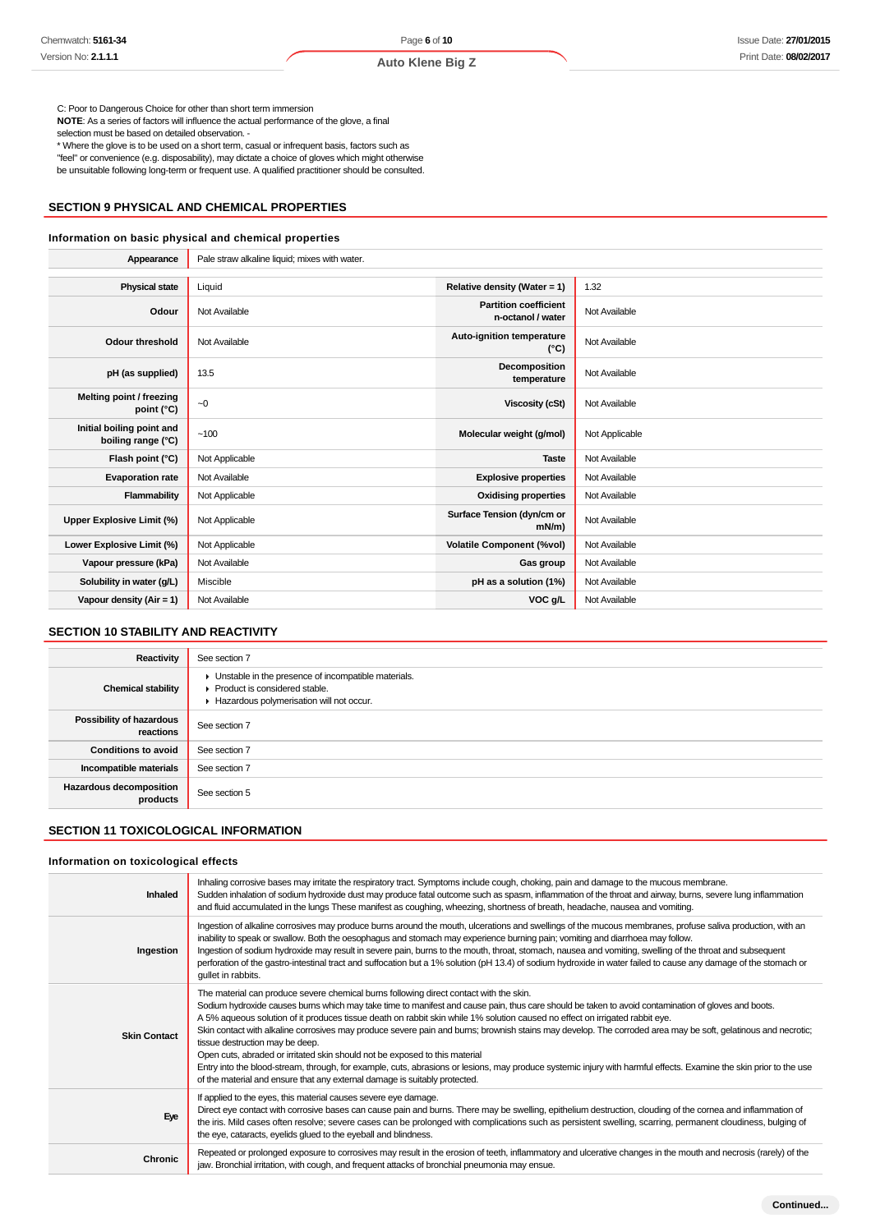**Auto Klene Big Z**

C: Poor to Dangerous Choice for other than short term immersion

**NOTE**: As a series of factors will influence the actual performance of the glove, a final

selection must be based on detailed observation. -

\* Where the glove is to be used on a short term, casual or infrequent basis, factors such as "feel" or convenience (e.g. disposability), may dictate a choice of gloves which might otherwise be unsuitable following long-term or frequent use. A qualified practitioner should be consulted.

### **SECTION 9 PHYSICAL AND CHEMICAL PROPERTIES**

#### **Information on basic physical and chemical properties**

| Appearance                                      | Pale straw alkaline liquid; mixes with water. |                                                   |                |
|-------------------------------------------------|-----------------------------------------------|---------------------------------------------------|----------------|
|                                                 |                                               |                                                   |                |
| <b>Physical state</b>                           | Liquid                                        | Relative density (Water = 1)                      | 1.32           |
| Odour                                           | Not Available                                 | <b>Partition coefficient</b><br>n-octanol / water | Not Available  |
| <b>Odour threshold</b>                          | Not Available                                 | Auto-ignition temperature<br>$(^{\circ}C)$        | Not Available  |
| pH (as supplied)                                | 13.5                                          | Decomposition<br>temperature                      | Not Available  |
| Melting point / freezing<br>point (°C)          | $-0$                                          | <b>Viscosity (cSt)</b>                            | Not Available  |
| Initial boiling point and<br>boiling range (°C) | ~100                                          | Molecular weight (g/mol)                          | Not Applicable |
| Flash point (°C)                                | Not Applicable                                | <b>Taste</b>                                      | Not Available  |
| <b>Evaporation rate</b>                         | Not Available                                 | <b>Explosive properties</b>                       | Not Available  |
| Flammability                                    | Not Applicable                                | <b>Oxidising properties</b>                       | Not Available  |
| Upper Explosive Limit (%)                       | Not Applicable                                | Surface Tension (dyn/cm or<br>$mN/m$ )            | Not Available  |
| Lower Explosive Limit (%)                       | Not Applicable                                | <b>Volatile Component (%vol)</b>                  | Not Available  |
| Vapour pressure (kPa)                           | Not Available                                 | Gas group                                         | Not Available  |
| Solubility in water (g/L)                       | Miscible                                      | pH as a solution (1%)                             | Not Available  |
| Vapour density (Air = 1)                        | Not Available                                 | VOC g/L                                           | Not Available  |

### **SECTION 10 STABILITY AND REACTIVITY**

| <b>Reactivity</b>                     | See section 7                                                                                                                      |
|---------------------------------------|------------------------------------------------------------------------------------------------------------------------------------|
| <b>Chemical stability</b>             | Unstable in the presence of incompatible materials.<br>▶ Product is considered stable.<br>Hazardous polymerisation will not occur. |
| Possibility of hazardous<br>reactions | See section 7                                                                                                                      |
| <b>Conditions to avoid</b>            | See section 7                                                                                                                      |
| Incompatible materials                | See section 7                                                                                                                      |
| Hazardous decomposition<br>products   | See section 5                                                                                                                      |

### **SECTION 11 TOXICOLOGICAL INFORMATION**

#### **Information on toxicological effects**

| <b>Inhaled</b>      | Inhaling corrosive bases may irritate the respiratory tract. Symptoms include cough, choking, pain and damage to the mucous membrane.<br>Sudden inhalation of sodium hydroxide dust may produce fatal outcome such as spasm, inflammation of the throat and airway, burns, severe lung inflammation<br>and fluid accumulated in the lungs These manifest as coughing, wheezing, shortness of breath, headache, nausea and vomiting.                                                                                                                                                                                                                                                                                                                                                                                                                                                                                  |
|---------------------|----------------------------------------------------------------------------------------------------------------------------------------------------------------------------------------------------------------------------------------------------------------------------------------------------------------------------------------------------------------------------------------------------------------------------------------------------------------------------------------------------------------------------------------------------------------------------------------------------------------------------------------------------------------------------------------------------------------------------------------------------------------------------------------------------------------------------------------------------------------------------------------------------------------------|
| Ingestion           | Ingestion of alkaline corrosives may produce burns around the mouth, ulcerations and swellings of the mucous membranes, profuse saliva production, with an<br>inability to speak or swallow. Both the oesophagus and stomach may experience burning pain; vomiting and diarrhoea may follow.<br>Ingestion of sodium hydroxide may result in severe pain, burns to the mouth, throat, stomach, nausea and vomiting, swelling of the throat and subsequent<br>perforation of the gastro-intestinal tract and suffocation but a 1% solution (pH 13.4) of sodium hydroxide in water failed to cause any damage of the stomach or<br>quilet in rabbits.                                                                                                                                                                                                                                                                   |
| <b>Skin Contact</b> | The material can produce severe chemical burns following direct contact with the skin.<br>Sodium hydroxide causes burns which may take time to manifest and cause pain, thus care should be taken to avoid contamination of gloves and boots.<br>A 5% aqueous solution of it produces tissue death on rabbit skin while 1% solution caused no effect on irrigated rabbit eye.<br>Skin contact with alkaline corrosives may produce severe pain and burns; brownish stains may develop. The corroded area may be soft, gelatinous and necrotic;<br>tissue destruction may be deep.<br>Open cuts, abraded or irritated skin should not be exposed to this material<br>Entry into the blood-stream, through, for example, cuts, abrasions or lesions, may produce systemic injury with harmful effects. Examine the skin prior to the use<br>of the material and ensure that any external damage is suitably protected. |
| Eye                 | If applied to the eyes, this material causes severe eye damage.<br>Direct eye contact with corrosive bases can cause pain and burns. There may be swelling, epithelium destruction, clouding of the cornea and inflammation of<br>the iris. Mild cases often resolve; severe cases can be prolonged with complications such as persistent swelling, scarring, permanent cloudiness, bulging of<br>the eye, cataracts, eyelids glued to the eyeball and blindness.                                                                                                                                                                                                                                                                                                                                                                                                                                                    |
| <b>Chronic</b>      | Repeated or prolonged exposure to corrosives may result in the erosion of teeth, inflammatory and ulcerative changes in the mouth and necrosis (rarely) of the<br>jaw. Bronchial irritation, with cough, and frequent attacks of bronchial pneumonia may ensue.                                                                                                                                                                                                                                                                                                                                                                                                                                                                                                                                                                                                                                                      |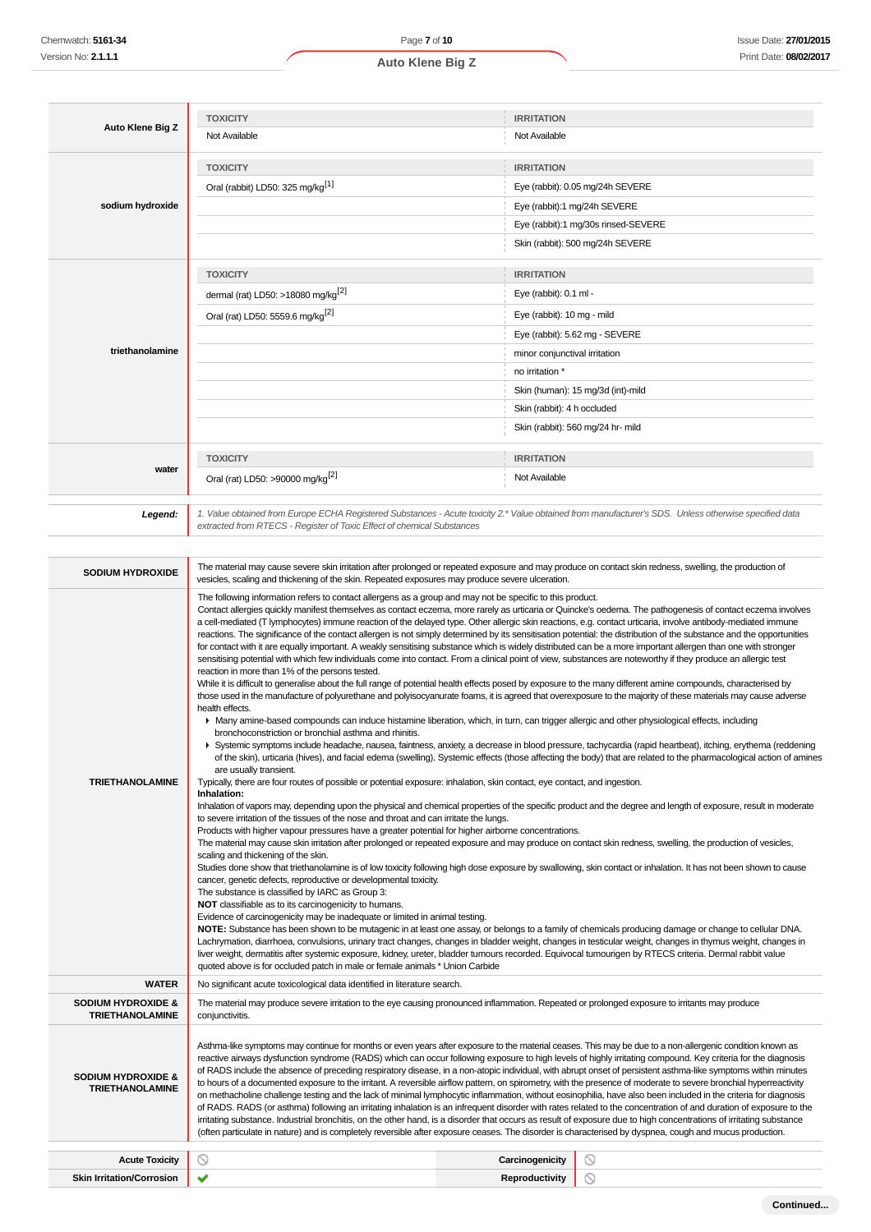٠,

| Auto Klene Big Z                                        | <b>TOXICITY</b>                                                                                                                                                                                                                                                                                                                                                                                                                                                                                                                                                                                                                                                                                                                                                                                                                                                                                                                                                                                                                                                                                                                                                                                                                                                                                                                                                                                                                                                                                                                                                                                                                                                                                                                                                                                                                                                                                                                                                                                                                                                                                                                                                                                                                                                                                                                                                                                                                                                                                                                                                                                                                                                                                                                                                                                                                                                                                                                                                                                                                                                                                                                                                                                                                                                                                                                                                                                                                                                                                                                                                                     | <b>IRRITATION</b>                                                                                                                                       |  |
|---------------------------------------------------------|-------------------------------------------------------------------------------------------------------------------------------------------------------------------------------------------------------------------------------------------------------------------------------------------------------------------------------------------------------------------------------------------------------------------------------------------------------------------------------------------------------------------------------------------------------------------------------------------------------------------------------------------------------------------------------------------------------------------------------------------------------------------------------------------------------------------------------------------------------------------------------------------------------------------------------------------------------------------------------------------------------------------------------------------------------------------------------------------------------------------------------------------------------------------------------------------------------------------------------------------------------------------------------------------------------------------------------------------------------------------------------------------------------------------------------------------------------------------------------------------------------------------------------------------------------------------------------------------------------------------------------------------------------------------------------------------------------------------------------------------------------------------------------------------------------------------------------------------------------------------------------------------------------------------------------------------------------------------------------------------------------------------------------------------------------------------------------------------------------------------------------------------------------------------------------------------------------------------------------------------------------------------------------------------------------------------------------------------------------------------------------------------------------------------------------------------------------------------------------------------------------------------------------------------------------------------------------------------------------------------------------------------------------------------------------------------------------------------------------------------------------------------------------------------------------------------------------------------------------------------------------------------------------------------------------------------------------------------------------------------------------------------------------------------------------------------------------------------------------------------------------------------------------------------------------------------------------------------------------------------------------------------------------------------------------------------------------------------------------------------------------------------------------------------------------------------------------------------------------------------------------------------------------------------------------------------------------------|---------------------------------------------------------------------------------------------------------------------------------------------------------|--|
|                                                         | Not Available                                                                                                                                                                                                                                                                                                                                                                                                                                                                                                                                                                                                                                                                                                                                                                                                                                                                                                                                                                                                                                                                                                                                                                                                                                                                                                                                                                                                                                                                                                                                                                                                                                                                                                                                                                                                                                                                                                                                                                                                                                                                                                                                                                                                                                                                                                                                                                                                                                                                                                                                                                                                                                                                                                                                                                                                                                                                                                                                                                                                                                                                                                                                                                                                                                                                                                                                                                                                                                                                                                                                                                       | Not Available                                                                                                                                           |  |
|                                                         | <b>TOXICITY</b>                                                                                                                                                                                                                                                                                                                                                                                                                                                                                                                                                                                                                                                                                                                                                                                                                                                                                                                                                                                                                                                                                                                                                                                                                                                                                                                                                                                                                                                                                                                                                                                                                                                                                                                                                                                                                                                                                                                                                                                                                                                                                                                                                                                                                                                                                                                                                                                                                                                                                                                                                                                                                                                                                                                                                                                                                                                                                                                                                                                                                                                                                                                                                                                                                                                                                                                                                                                                                                                                                                                                                                     | <b>IRRITATION</b>                                                                                                                                       |  |
|                                                         | Oral (rabbit) LD50: 325 mg/kg <sup>[1]</sup>                                                                                                                                                                                                                                                                                                                                                                                                                                                                                                                                                                                                                                                                                                                                                                                                                                                                                                                                                                                                                                                                                                                                                                                                                                                                                                                                                                                                                                                                                                                                                                                                                                                                                                                                                                                                                                                                                                                                                                                                                                                                                                                                                                                                                                                                                                                                                                                                                                                                                                                                                                                                                                                                                                                                                                                                                                                                                                                                                                                                                                                                                                                                                                                                                                                                                                                                                                                                                                                                                                                                        | Eye (rabbit): 0.05 mg/24h SEVERE                                                                                                                        |  |
| sodium hydroxide                                        |                                                                                                                                                                                                                                                                                                                                                                                                                                                                                                                                                                                                                                                                                                                                                                                                                                                                                                                                                                                                                                                                                                                                                                                                                                                                                                                                                                                                                                                                                                                                                                                                                                                                                                                                                                                                                                                                                                                                                                                                                                                                                                                                                                                                                                                                                                                                                                                                                                                                                                                                                                                                                                                                                                                                                                                                                                                                                                                                                                                                                                                                                                                                                                                                                                                                                                                                                                                                                                                                                                                                                                                     | Eye (rabbit):1 mg/24h SEVERE                                                                                                                            |  |
|                                                         |                                                                                                                                                                                                                                                                                                                                                                                                                                                                                                                                                                                                                                                                                                                                                                                                                                                                                                                                                                                                                                                                                                                                                                                                                                                                                                                                                                                                                                                                                                                                                                                                                                                                                                                                                                                                                                                                                                                                                                                                                                                                                                                                                                                                                                                                                                                                                                                                                                                                                                                                                                                                                                                                                                                                                                                                                                                                                                                                                                                                                                                                                                                                                                                                                                                                                                                                                                                                                                                                                                                                                                                     | Eye (rabbit):1 mg/30s rinsed-SEVERE                                                                                                                     |  |
|                                                         |                                                                                                                                                                                                                                                                                                                                                                                                                                                                                                                                                                                                                                                                                                                                                                                                                                                                                                                                                                                                                                                                                                                                                                                                                                                                                                                                                                                                                                                                                                                                                                                                                                                                                                                                                                                                                                                                                                                                                                                                                                                                                                                                                                                                                                                                                                                                                                                                                                                                                                                                                                                                                                                                                                                                                                                                                                                                                                                                                                                                                                                                                                                                                                                                                                                                                                                                                                                                                                                                                                                                                                                     | Skin (rabbit): 500 mg/24h SEVERE                                                                                                                        |  |
|                                                         |                                                                                                                                                                                                                                                                                                                                                                                                                                                                                                                                                                                                                                                                                                                                                                                                                                                                                                                                                                                                                                                                                                                                                                                                                                                                                                                                                                                                                                                                                                                                                                                                                                                                                                                                                                                                                                                                                                                                                                                                                                                                                                                                                                                                                                                                                                                                                                                                                                                                                                                                                                                                                                                                                                                                                                                                                                                                                                                                                                                                                                                                                                                                                                                                                                                                                                                                                                                                                                                                                                                                                                                     |                                                                                                                                                         |  |
|                                                         | <b>TOXICITY</b>                                                                                                                                                                                                                                                                                                                                                                                                                                                                                                                                                                                                                                                                                                                                                                                                                                                                                                                                                                                                                                                                                                                                                                                                                                                                                                                                                                                                                                                                                                                                                                                                                                                                                                                                                                                                                                                                                                                                                                                                                                                                                                                                                                                                                                                                                                                                                                                                                                                                                                                                                                                                                                                                                                                                                                                                                                                                                                                                                                                                                                                                                                                                                                                                                                                                                                                                                                                                                                                                                                                                                                     | <b>IRRITATION</b>                                                                                                                                       |  |
|                                                         | dermal (rat) LD50: >18080 mg/kg <sup>[2]</sup>                                                                                                                                                                                                                                                                                                                                                                                                                                                                                                                                                                                                                                                                                                                                                                                                                                                                                                                                                                                                                                                                                                                                                                                                                                                                                                                                                                                                                                                                                                                                                                                                                                                                                                                                                                                                                                                                                                                                                                                                                                                                                                                                                                                                                                                                                                                                                                                                                                                                                                                                                                                                                                                                                                                                                                                                                                                                                                                                                                                                                                                                                                                                                                                                                                                                                                                                                                                                                                                                                                                                      | Eye (rabbit): 0.1 ml -                                                                                                                                  |  |
|                                                         | Oral (rat) LD50: 5559.6 mg/kg <sup>[2]</sup>                                                                                                                                                                                                                                                                                                                                                                                                                                                                                                                                                                                                                                                                                                                                                                                                                                                                                                                                                                                                                                                                                                                                                                                                                                                                                                                                                                                                                                                                                                                                                                                                                                                                                                                                                                                                                                                                                                                                                                                                                                                                                                                                                                                                                                                                                                                                                                                                                                                                                                                                                                                                                                                                                                                                                                                                                                                                                                                                                                                                                                                                                                                                                                                                                                                                                                                                                                                                                                                                                                                                        | Eye (rabbit): 10 mg - mild                                                                                                                              |  |
| triethanolamine                                         |                                                                                                                                                                                                                                                                                                                                                                                                                                                                                                                                                                                                                                                                                                                                                                                                                                                                                                                                                                                                                                                                                                                                                                                                                                                                                                                                                                                                                                                                                                                                                                                                                                                                                                                                                                                                                                                                                                                                                                                                                                                                                                                                                                                                                                                                                                                                                                                                                                                                                                                                                                                                                                                                                                                                                                                                                                                                                                                                                                                                                                                                                                                                                                                                                                                                                                                                                                                                                                                                                                                                                                                     | Eye (rabbit): 5.62 mg - SEVERE                                                                                                                          |  |
|                                                         |                                                                                                                                                                                                                                                                                                                                                                                                                                                                                                                                                                                                                                                                                                                                                                                                                                                                                                                                                                                                                                                                                                                                                                                                                                                                                                                                                                                                                                                                                                                                                                                                                                                                                                                                                                                                                                                                                                                                                                                                                                                                                                                                                                                                                                                                                                                                                                                                                                                                                                                                                                                                                                                                                                                                                                                                                                                                                                                                                                                                                                                                                                                                                                                                                                                                                                                                                                                                                                                                                                                                                                                     | minor conjunctival irritation<br>no irritation *                                                                                                        |  |
|                                                         |                                                                                                                                                                                                                                                                                                                                                                                                                                                                                                                                                                                                                                                                                                                                                                                                                                                                                                                                                                                                                                                                                                                                                                                                                                                                                                                                                                                                                                                                                                                                                                                                                                                                                                                                                                                                                                                                                                                                                                                                                                                                                                                                                                                                                                                                                                                                                                                                                                                                                                                                                                                                                                                                                                                                                                                                                                                                                                                                                                                                                                                                                                                                                                                                                                                                                                                                                                                                                                                                                                                                                                                     | Skin (human): 15 mg/3d (int)-mild                                                                                                                       |  |
|                                                         |                                                                                                                                                                                                                                                                                                                                                                                                                                                                                                                                                                                                                                                                                                                                                                                                                                                                                                                                                                                                                                                                                                                                                                                                                                                                                                                                                                                                                                                                                                                                                                                                                                                                                                                                                                                                                                                                                                                                                                                                                                                                                                                                                                                                                                                                                                                                                                                                                                                                                                                                                                                                                                                                                                                                                                                                                                                                                                                                                                                                                                                                                                                                                                                                                                                                                                                                                                                                                                                                                                                                                                                     | Skin (rabbit): 4 h occluded                                                                                                                             |  |
|                                                         |                                                                                                                                                                                                                                                                                                                                                                                                                                                                                                                                                                                                                                                                                                                                                                                                                                                                                                                                                                                                                                                                                                                                                                                                                                                                                                                                                                                                                                                                                                                                                                                                                                                                                                                                                                                                                                                                                                                                                                                                                                                                                                                                                                                                                                                                                                                                                                                                                                                                                                                                                                                                                                                                                                                                                                                                                                                                                                                                                                                                                                                                                                                                                                                                                                                                                                                                                                                                                                                                                                                                                                                     | Skin (rabbit): 560 mg/24 hr- mild                                                                                                                       |  |
|                                                         |                                                                                                                                                                                                                                                                                                                                                                                                                                                                                                                                                                                                                                                                                                                                                                                                                                                                                                                                                                                                                                                                                                                                                                                                                                                                                                                                                                                                                                                                                                                                                                                                                                                                                                                                                                                                                                                                                                                                                                                                                                                                                                                                                                                                                                                                                                                                                                                                                                                                                                                                                                                                                                                                                                                                                                                                                                                                                                                                                                                                                                                                                                                                                                                                                                                                                                                                                                                                                                                                                                                                                                                     |                                                                                                                                                         |  |
| water                                                   | <b>TOXICITY</b>                                                                                                                                                                                                                                                                                                                                                                                                                                                                                                                                                                                                                                                                                                                                                                                                                                                                                                                                                                                                                                                                                                                                                                                                                                                                                                                                                                                                                                                                                                                                                                                                                                                                                                                                                                                                                                                                                                                                                                                                                                                                                                                                                                                                                                                                                                                                                                                                                                                                                                                                                                                                                                                                                                                                                                                                                                                                                                                                                                                                                                                                                                                                                                                                                                                                                                                                                                                                                                                                                                                                                                     | <b>IRRITATION</b>                                                                                                                                       |  |
|                                                         | Oral (rat) LD50: >90000 mg/kg <sup>[2]</sup>                                                                                                                                                                                                                                                                                                                                                                                                                                                                                                                                                                                                                                                                                                                                                                                                                                                                                                                                                                                                                                                                                                                                                                                                                                                                                                                                                                                                                                                                                                                                                                                                                                                                                                                                                                                                                                                                                                                                                                                                                                                                                                                                                                                                                                                                                                                                                                                                                                                                                                                                                                                                                                                                                                                                                                                                                                                                                                                                                                                                                                                                                                                                                                                                                                                                                                                                                                                                                                                                                                                                        | Not Available                                                                                                                                           |  |
| Legend:                                                 | extracted from RTECS - Register of Toxic Effect of chemical Substances                                                                                                                                                                                                                                                                                                                                                                                                                                                                                                                                                                                                                                                                                                                                                                                                                                                                                                                                                                                                                                                                                                                                                                                                                                                                                                                                                                                                                                                                                                                                                                                                                                                                                                                                                                                                                                                                                                                                                                                                                                                                                                                                                                                                                                                                                                                                                                                                                                                                                                                                                                                                                                                                                                                                                                                                                                                                                                                                                                                                                                                                                                                                                                                                                                                                                                                                                                                                                                                                                                              | 1. Value obtained from Europe ECHA Registered Substances - Acute toxicity 2.* Value obtained from manufacturer's SDS. Unless otherwise specified data   |  |
| <b>SODIUM HYDROXIDE</b>                                 | vesicles, scaling and thickening of the skin. Repeated exposures may produce severe ulceration.                                                                                                                                                                                                                                                                                                                                                                                                                                                                                                                                                                                                                                                                                                                                                                                                                                                                                                                                                                                                                                                                                                                                                                                                                                                                                                                                                                                                                                                                                                                                                                                                                                                                                                                                                                                                                                                                                                                                                                                                                                                                                                                                                                                                                                                                                                                                                                                                                                                                                                                                                                                                                                                                                                                                                                                                                                                                                                                                                                                                                                                                                                                                                                                                                                                                                                                                                                                                                                                                                     | The material may cause severe skin irritation after prolonged or repeated exposure and may produce on contact skin redness, swelling, the production of |  |
| <b>TRIETHANOLAMINE</b>                                  | The following information refers to contact allergens as a group and may not be specific to this product.<br>Contact allergies quickly manifest themselves as contact eczema, more rarely as urticaria or Quincke's oedema. The pathogenesis of contact eczema involves<br>a cell-mediated (T lymphocytes) immune reaction of the delayed type. Other allergic skin reactions, e.g. contact urticaria, involve antibody-mediated immune<br>reactions. The significance of the contact allergen is not simply determined by its sensitisation potential: the distribution of the substance and the opportunities<br>for contact with it are equally important. A weakly sensitising substance which is widely distributed can be a more important allergen than one with stronger<br>sensitising potential with which few individuals come into contact. From a clinical point of view, substances are noteworthy if they produce an allergic test<br>reaction in more than 1% of the persons tested.<br>While it is difficult to generalise about the full range of potential health effects posed by exposure to the many different amine compounds, characterised by<br>those used in the manufacture of polyurethane and polyisocyanurate foams, it is agreed that overexposure to the majority of these materials may cause adverse<br>health effects.<br>▶ Many amine-based compounds can induce histamine liberation, which, in turn, can trigger allergic and other physiological effects, including<br>bronchoconstriction or bronchial asthma and rhinitis.<br>▶ Systemic symptoms include headache, nausea, faintness, anxiety, a decrease in blood pressure, tachycardia (rapid heartbeat), itching, erythema (reddening<br>of the skin), urticaria (hives), and facial edema (swelling). Systemic effects (those affecting the body) that are related to the pharmacological action of amines<br>are usually transient.<br>Typically, there are four routes of possible or potential exposure: inhalation, skin contact, eye contact, and ingestion.<br>Inhalation:<br>Inhalation of vapors may, depending upon the physical and chemical properties of the specific product and the degree and length of exposure, result in moderate<br>to severe irritation of the tissues of the nose and throat and can irritate the lungs.<br>Products with higher vapour pressures have a greater potential for higher airborne concentrations.<br>The material may cause skin irritation after prolonged or repeated exposure and may produce on contact skin redness, swelling, the production of vesicles,<br>scaling and thickening of the skin.<br>Studies done show that triethanolamine is of low toxicity following high dose exposure by swallowing, skin contact or inhalation. It has not been shown to cause<br>cancer, genetic defects, reproductive or developmental toxicity.<br>The substance is classified by IARC as Group 3:<br><b>NOT</b> classifiable as to its carcinogenicity to humans.<br>Evidence of carcinogenicity may be inadequate or limited in animal testing.<br>NOTE: Substance has been shown to be mutagenic in at least one assay, or belongs to a family of chemicals producing damage or change to cellular DNA.<br>Lachrymation, diarrhoea, convulsions, urinary tract changes, changes in bladder weight, changes in testicular weight, changes in thymus weight, changes in<br>liver weight, dermatitis after systemic exposure, kidney, ureter, bladder tumours recorded. Equivocal tumourigen by RTECS criteria. Dermal rabbit value |                                                                                                                                                         |  |
| <b>WATER</b>                                            | No significant acute toxicological data identified in literature search.                                                                                                                                                                                                                                                                                                                                                                                                                                                                                                                                                                                                                                                                                                                                                                                                                                                                                                                                                                                                                                                                                                                                                                                                                                                                                                                                                                                                                                                                                                                                                                                                                                                                                                                                                                                                                                                                                                                                                                                                                                                                                                                                                                                                                                                                                                                                                                                                                                                                                                                                                                                                                                                                                                                                                                                                                                                                                                                                                                                                                                                                                                                                                                                                                                                                                                                                                                                                                                                                                                            |                                                                                                                                                         |  |
| <b>SODIUM HYDROXIDE &amp;</b><br><b>TRIETHANOLAMINE</b> | conjunctivitis.                                                                                                                                                                                                                                                                                                                                                                                                                                                                                                                                                                                                                                                                                                                                                                                                                                                                                                                                                                                                                                                                                                                                                                                                                                                                                                                                                                                                                                                                                                                                                                                                                                                                                                                                                                                                                                                                                                                                                                                                                                                                                                                                                                                                                                                                                                                                                                                                                                                                                                                                                                                                                                                                                                                                                                                                                                                                                                                                                                                                                                                                                                                                                                                                                                                                                                                                                                                                                                                                                                                                                                     | The material may produce severe irritation to the eye causing pronounced inflammation. Repeated or prolonged exposure to irritants may produce          |  |
| <b>SODIUM HYDROXIDE &amp;</b><br><b>TRIETHANOLAMINE</b> | Asthma-like symptoms may continue for months or even years after exposure to the material ceases. This may be due to a non-allergenic condition known as<br>reactive airways dysfunction syndrome (RADS) which can occur following exposure to high levels of highly irritating compound. Key criteria for the diagnosis<br>of RADS include the absence of preceding respiratory disease, in a non-atopic individual, with abrupt onset of persistent asthma-like symptoms within minutes<br>to hours of a documented exposure to the irritant. A reversible airflow pattern, on spirometry, with the presence of moderate to severe bronchial hyperreactivity<br>on methacholine challenge testing and the lack of minimal lymphocytic inflammation, without eosinophilia, have also been included in the criteria for diagnosis<br>of RADS. RADS (or asthma) following an irritating inhalation is an infrequent disorder with rates related to the concentration of and duration of exposure to the<br>irritating substance. Industrial bronchitis, on the other hand, is a disorder that occurs as result of exposure due to high concentrations of irritating substance<br>(often particulate in nature) and is completely reversible after exposure ceases. The disorder is characterised by dyspnea, cough and mucus production.                                                                                                                                                                                                                                                                                                                                                                                                                                                                                                                                                                                                                                                                                                                                                                                                                                                                                                                                                                                                                                                                                                                                                                                                                                                                                                                                                                                                                                                                                                                                                                                                                                                                                                                                                                                                                                                                                                                                                                                                                                                                                                                                                                                                                                             |                                                                                                                                                         |  |

| <b>Acute Toxicity</b>           | $\sim$ | Carcinogenicity |   |
|---------------------------------|--------|-----------------|---|
| ۹ü۰<br>-stion/Com<br>Corrosion: |        | uctivity        | w |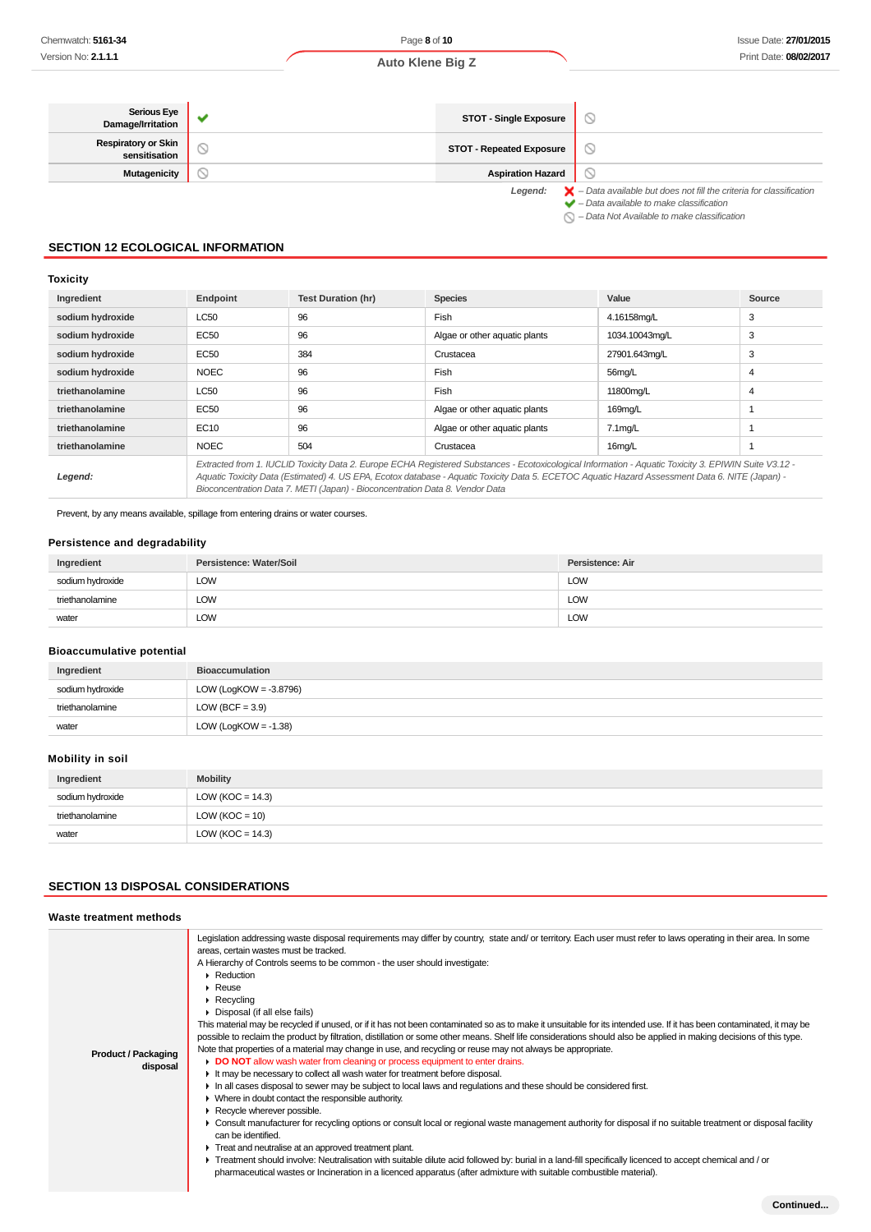| <b>Serious Eye</b><br>Damage/Irritation     | <b>STOT - Single Exposure</b>   |                                                                                                                                                           |
|---------------------------------------------|---------------------------------|-----------------------------------------------------------------------------------------------------------------------------------------------------------|
| <b>Respiratory or Skin</b><br>sensitisation | <b>STOT - Repeated Exposure</b> | Y                                                                                                                                                         |
| <b>Mutagenicity</b>                         | <b>Aspiration Hazard</b>        | V                                                                                                                                                         |
|                                             | Legend:                         | $\blacktriangleright$ - Data available but does not fill the criteria for classification<br>$\blacktriangleright$ - Data available to make classification |

 $\sum -$  Data Not Available to make classification

### **SECTION 12 ECOLOGICAL INFORMATION**

### **Toxicity**

| Ingredient       | Endpoint    | <b>Test Duration (hr)</b>                                                    | <b>Species</b>                                                                                                                                                                                                                                                                                           | Value          | Source |
|------------------|-------------|------------------------------------------------------------------------------|----------------------------------------------------------------------------------------------------------------------------------------------------------------------------------------------------------------------------------------------------------------------------------------------------------|----------------|--------|
| sodium hydroxide | <b>LC50</b> | 96                                                                           | Fish                                                                                                                                                                                                                                                                                                     | 4.16158mg/L    | 3      |
| sodium hydroxide | EC50        | 96                                                                           | Algae or other aquatic plants                                                                                                                                                                                                                                                                            | 1034.10043mg/L | 3      |
| sodium hydroxide | EC50        | 384                                                                          | Crustacea                                                                                                                                                                                                                                                                                                | 27901.643mg/L  | 3      |
| sodium hydroxide | <b>NOEC</b> | 96                                                                           | Fish                                                                                                                                                                                                                                                                                                     | 56mg/L         | 4      |
| triethanolamine  | <b>LC50</b> | 96                                                                           | Fish                                                                                                                                                                                                                                                                                                     | 11800mg/L      | 4      |
| triethanolamine  | EC50        | 96                                                                           | Algae or other aquatic plants                                                                                                                                                                                                                                                                            | 169mg/L        |        |
| triethanolamine  | EC10        | 96                                                                           | Algae or other aquatic plants                                                                                                                                                                                                                                                                            | $7.1$ mg/L     |        |
| triethanolamine  | <b>NOEC</b> | 504                                                                          | Crustacea                                                                                                                                                                                                                                                                                                | 16mg/L         |        |
| Legend:          |             | Bioconcentration Data 7. METI (Japan) - Bioconcentration Data 8. Vendor Data | Extracted from 1. IUCLID Toxicity Data 2. Europe ECHA Registered Substances - Ecotoxicological Information - Aquatic Toxicity 3. EPIWIN Suite V3.12 -<br>Aquatic Toxicity Data (Estimated) 4. US EPA, Ecotox database - Aquatic Toxicity Data 5. ECETOC Aquatic Hazard Assessment Data 6. NITE (Japan) - |                |        |

Prevent, by any means available, spillage from entering drains or water courses.

### **Persistence and degradability**

| Ingredient       | Persistence: Water/Soil | Persistence: Air |
|------------------|-------------------------|------------------|
| sodium hydroxide | LOW<br>$\sim$           | <b>LOW</b>       |
| triethanolamine  | LOW                     | <b>LOW</b>       |
| water            | ∟OW                     | LOW              |

### **Bioaccumulative potential**

| Ingredient       | <b>Bioaccumulation</b>    |
|------------------|---------------------------|
| sodium hydroxide | LOW (LogKOW = $-3.8796$ ) |
| triethanolamine  | LOW (BCF = $3.9$ )        |
| water            | LOW (LogKOW = $-1.38$ )   |

### **Mobility in soil**

| Ingredient       | <b>Mobility</b>      |
|------------------|----------------------|
| sodium hydroxide | LOW ( $KOC = 14.3$ ) |
| triethanolamine  | $LOW (KOC = 10)$     |
| water            | LOW (KOC = $14.3$ )  |

### **SECTION 13 DISPOSAL CONSIDERATIONS**

#### **Waste treatment methods**

| <b>Product / Packaging</b><br>disposal | Legislation addressing waste disposal requirements may differ by country, state and/or territory. Each user must refer to laws operating in their area. In some<br>areas, certain wastes must be tracked.<br>A Hierarchy of Controls seems to be common - the user should investigate:<br>$\blacktriangleright$ Reduction<br>$\blacktriangleright$ Reuse<br>$\blacktriangleright$ Recycling<br>• Disposal (if all else fails)<br>This material may be recycled if unused, or if it has not been contaminated so as to make it unsuitable for its intended use. If it has been contaminated, it may be<br>possible to reclaim the product by filtration, distillation or some other means. Shelf life considerations should also be applied in making decisions of this type.<br>Note that properties of a material may change in use, and recycling or reuse may not always be appropriate.<br>• DO NOT allow wash water from cleaning or process equipment to enter drains.<br>It may be necessary to collect all wash water for treatment before disposal.<br>In all cases disposal to sewer may be subject to local laws and regulations and these should be considered first.<br>• Where in doubt contact the responsible authority.<br>Recycle wherever possible.<br>► Consult manufacturer for recycling options or consult local or regional waste management authority for disposal if no suitable treatment or disposal facility<br>can be identified.<br>Treat and neutralise at an approved treatment plant.<br>F Treatment should involve: Neutralisation with suitable dilute acid followed by: burial in a land-fill specifically licenced to accept chemical and / or<br>pharmaceutical wastes or Incineration in a licenced apparatus (after admixture with suitable combustible material). |
|----------------------------------------|-------------------------------------------------------------------------------------------------------------------------------------------------------------------------------------------------------------------------------------------------------------------------------------------------------------------------------------------------------------------------------------------------------------------------------------------------------------------------------------------------------------------------------------------------------------------------------------------------------------------------------------------------------------------------------------------------------------------------------------------------------------------------------------------------------------------------------------------------------------------------------------------------------------------------------------------------------------------------------------------------------------------------------------------------------------------------------------------------------------------------------------------------------------------------------------------------------------------------------------------------------------------------------------------------------------------------------------------------------------------------------------------------------------------------------------------------------------------------------------------------------------------------------------------------------------------------------------------------------------------------------------------------------------------------------------------------------------------------------------------------------------------------------------------------------------|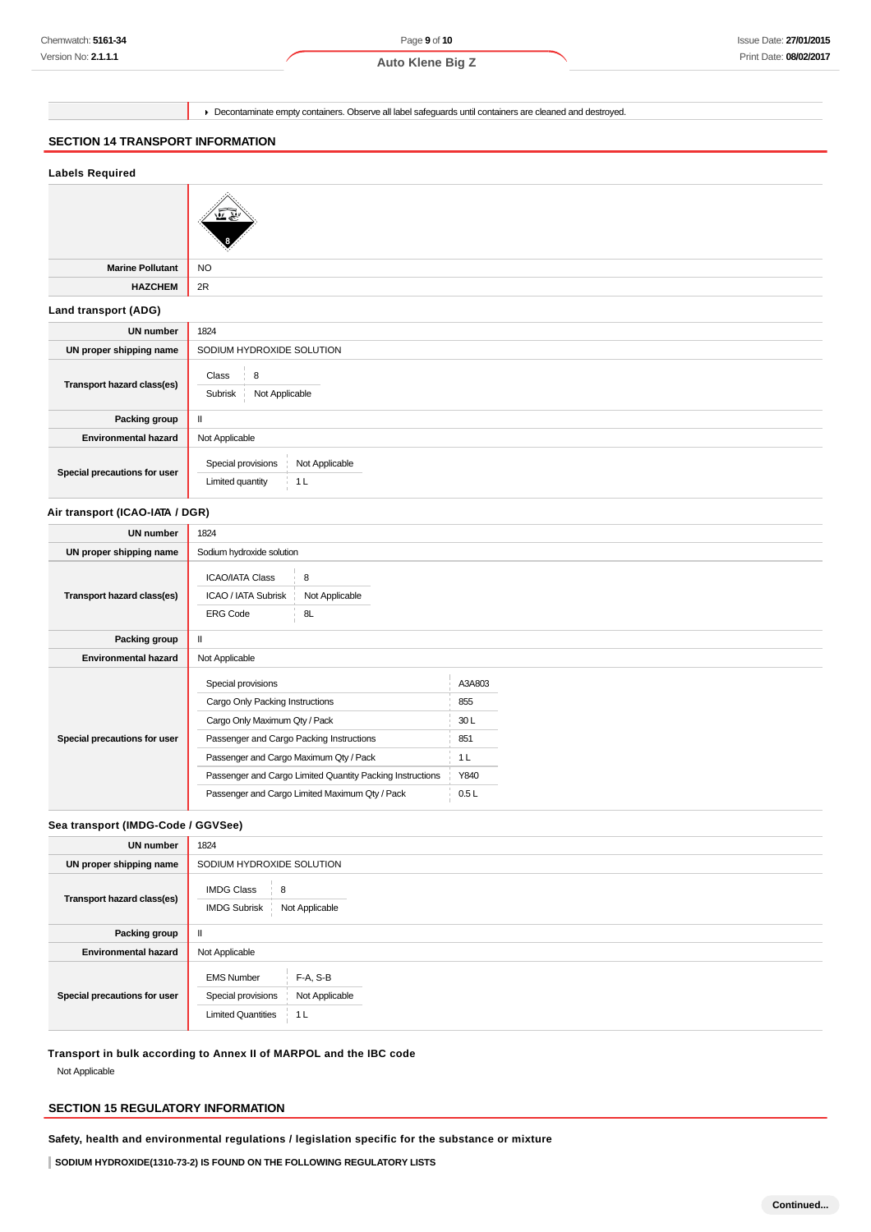Page **9** of **10**

**Auto Klene Big Z**

Decontaminate empty containers. Observe all label safeguards until containers are cleaned and destroyed.

### **SECTION 14 TRANSPORT INFORMATION**

| <b>Labels Required</b>          |                                                                                        |  |
|---------------------------------|----------------------------------------------------------------------------------------|--|
|                                 |                                                                                        |  |
| <b>Marine Pollutant</b>         | <b>NO</b>                                                                              |  |
| <b>HAZCHEM</b>                  | 2R                                                                                     |  |
| <b>Land transport (ADG)</b>     |                                                                                        |  |
| <b>UN number</b>                | 1824                                                                                   |  |
| UN proper shipping name         | SODIUM HYDROXIDE SOLUTION                                                              |  |
| Transport hazard class(es)      | 8<br>Class<br>Not Applicable<br>Subrisk                                                |  |
| Packing group                   | $\mathbf H$                                                                            |  |
| <b>Environmental hazard</b>     | Not Applicable                                                                         |  |
| Special precautions for user    | Not Applicable<br>Special provisions<br>1 <sub>L</sub><br>Limited quantity             |  |
| Air transport (ICAO-IATA / DGR) |                                                                                        |  |
| <b>UN number</b>                | 1824                                                                                   |  |
| UN proper shipping name         | Sodium hydroxide solution                                                              |  |
| Transport hazard class(es)      | <b>ICAO/IATA Class</b><br>8<br>ICAO / IATA Subrisk<br>Not Applicable<br>8L<br>ERG Code |  |
| Packing group                   | Ш                                                                                      |  |

| <b>Environmental hazard</b>  | Not Applicable                                            |                |
|------------------------------|-----------------------------------------------------------|----------------|
|                              | Special provisions                                        | A3A803         |
|                              | Cargo Only Packing Instructions                           | 855            |
|                              | Cargo Only Maximum Qty / Pack                             | 30L            |
| Special precautions for user | Passenger and Cargo Packing Instructions                  | 851            |
|                              | Passenger and Cargo Maximum Qty / Pack                    | 1 <sub>L</sub> |
|                              | Passenger and Cargo Limited Quantity Packing Instructions | Y840           |
|                              | Passenger and Cargo Limited Maximum Qty / Pack            | 0.5L           |

### **Sea transport (IMDG-Code / GGVSee)**

| <b>UN number</b>             | 1824                                                                                                      |
|------------------------------|-----------------------------------------------------------------------------------------------------------|
| UN proper shipping name      | SODIUM HYDROXIDE SOLUTION                                                                                 |
| Transport hazard class(es)   | <b>IMDG Class</b><br>$\frac{1}{2}$ 8<br>Not Applicable<br><b>IMDG Subrisk</b>                             |
| Packing group                | ш                                                                                                         |
| <b>Environmental hazard</b>  | Not Applicable                                                                                            |
| Special precautions for user | F-A, S-B<br><b>EMS Number</b><br>Special provisions<br>Not Applicable<br><b>Limited Quantities</b><br>1 L |

**Transport in bulk according to Annex II of MARPOL and the IBC code**

Not Applicable

### **SECTION 15 REGULATORY INFORMATION**

**Safety, health and environmental regulations / legislation specific for the substance or mixture**

**SODIUM HYDROXIDE(1310-73-2) IS FOUND ON THE FOLLOWING REGULATORY LISTS**